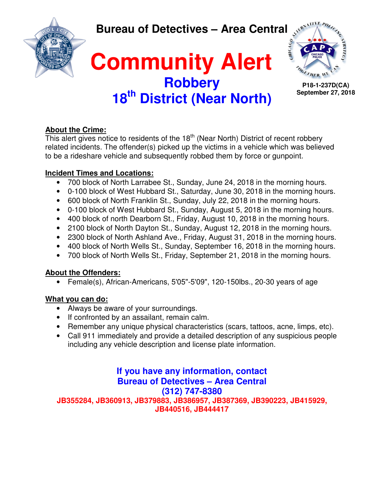**Bureau of Detectives – Area Central** 



## **Community Alert Robbery 18th District (Near North)**



**P18-1-237D(CA) September 27, 2018**

### **About the Crime:**

This alert gives notice to residents of the  $18<sup>th</sup>$  (Near North) District of recent robbery related incidents. The offender(s) picked up the victims in a vehicle which was believed to be a rideshare vehicle and subsequently robbed them by force or gunpoint.

### **Incident Times and Locations:**

- 700 block of North Larrabee St., Sunday, June 24, 2018 in the morning hours.
- 0-100 block of West Hubbard St., Saturday, June 30, 2018 in the morning hours.
- 600 block of North Franklin St., Sunday, July 22, 2018 in the morning hours.
- 0-100 block of West Hubbard St., Sunday, August 5, 2018 in the morning hours.
- 400 block of north Dearborn St., Friday, August 10, 2018 in the morning hours.
- 2100 block of North Dayton St., Sunday, August 12, 2018 in the morning hours.
- 2300 block of North Ashland Ave., Friday, August 31, 2018 in the morning hours.
- 400 block of North Wells St., Sunday, September 16, 2018 in the morning hours.
- 700 block of North Wells St., Friday, September 21, 2018 in the morning hours.

### **About the Offenders:**

• Female(s), African-Americans, 5'05"-5'09", 120-150lbs., 20-30 years of age

### **What you can do:**

- Always be aware of your surroundings.
- If confronted by an assailant, remain calm.
- Remember any unique physical characteristics (scars, tattoos, acne, limps, etc).
- Call 911 immediately and provide a detailed description of any suspicious people including any vehicle description and license plate information.

### **If you have any information, contact Bureau of Detectives – Area Central (312) 747-8380**

**JB355284, JB360913, JB379883, JB386957, JB387369, JB390223, JB415929, JB440516, JB444417**